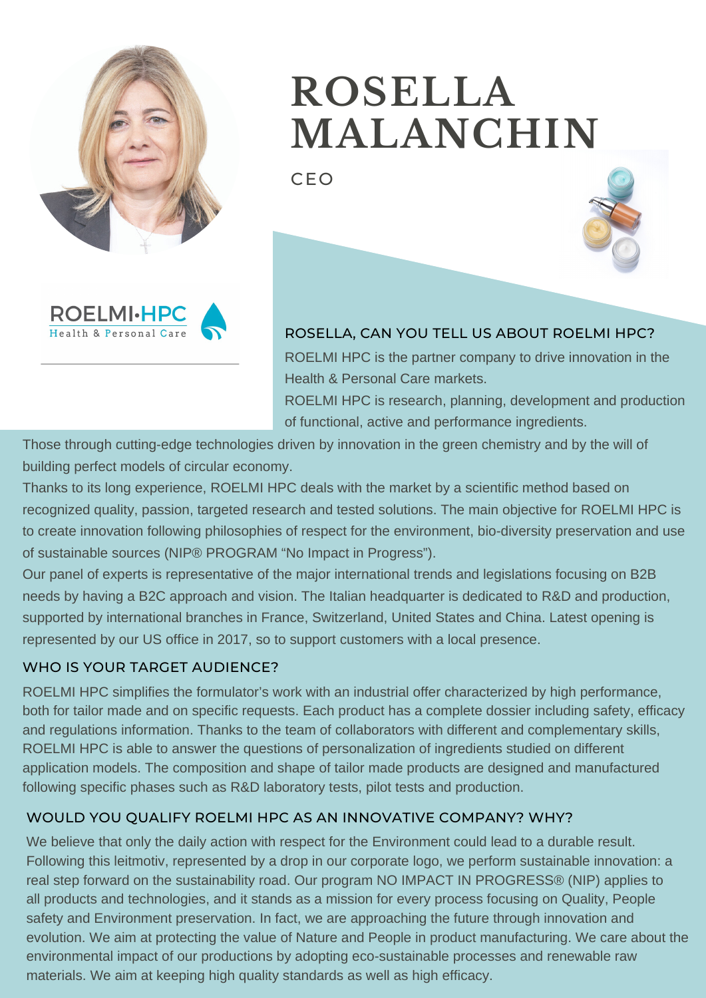

# **ROSELLA MALANCHIN**

CEO





ROSELLA, CAN YOU TELL US ABOUT ROELMI HPC? ROELMI HPC is the partner company to drive innovation in the Health & Personal Care markets. ROELMI HPC is research, planning, development and production of functional, active and performance ingredients.

Those through cutting-edge technologies driven by innovation in the green chemistry and by the will of building perfect models of circular economy.

Thanks to its long experience, ROELMI HPC deals with the market by a scientific method based on recognized quality, passion, targeted research and tested solutions. The main objective for ROELMI HPC is to create innovation following philosophies of respect for the environment, bio-diversity preservation and use of sustainable sources (NIP® PROGRAM "No Impact in Progress").

Our panel of experts is representative of the major international trends and legislations focusing on B2B needs by having a B2C approach and vision. The Italian headquarter is dedicated to R&D and production, supported by international branches in France, Switzerland, United States and China. Latest opening is represented by our US office in 2017, so to support customers with a local presence.

# WHO IS YOUR TARGET AUDIENCE?

ROELMI HPC simplifies the formulator's work with an industrial offer characterized by high performance, both for tailor made and on specific requests. Each product has a complete dossier including safety, efficacy and regulations information. Thanks to the team of collaborators with different and complementary skills, ROELMI HPC is able to answer the questions of personalization of ingredients studied on different application models. The composition and shape of tailor made products are designed and manufactured following specific phases such as R&D laboratory tests, pilot tests and production.

# WOULD YOU QUALIFY ROELMI HPC AS AN INNOVATIVE COMPANY? WHY?

We believe that only the daily action with respect for the Environment could lead to a durable result. Following this leitmotiv, represented by a drop in our corporate logo, we perform sustainable innovation: a real step forward on the sustainability road. Our program NO IMPACT IN PROGRESS® (NIP) applies to all products and technologies, and it stands as a mission for every process focusing on Quality, People safety and Environment preservation. In fact, we are approaching the future through innovation and evolution. We aim at protecting the value of Nature and People in product manufacturing. We care about the environmental impact of our productions by adopting eco-sustainable processes and renewable raw materials. We aim at keeping high quality standards as well as high efficacy.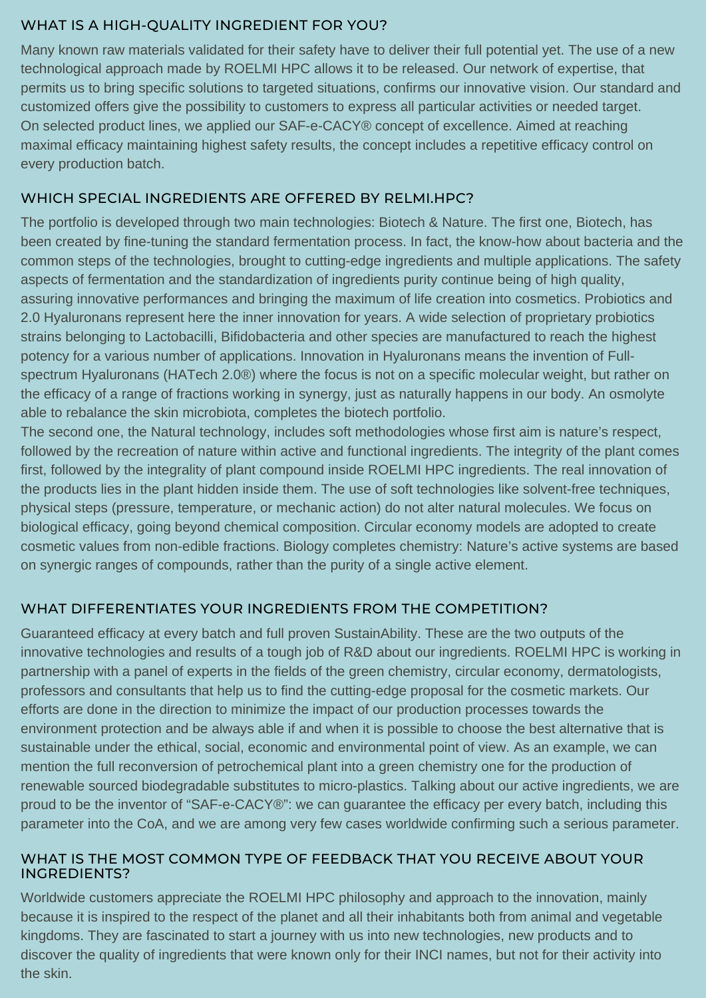#### WHAT IS A HIGH-QUALITY INGREDIENT FOR YOU?

Many known raw materials validated for their safety have to deliver their full potential yet. The use of a new technological approach made by ROELMI HPC allows it to be released. Our network of expertise, that permits us to bring specific solutions to targeted situations, confirms our innovative vision. Our standard and customized offers give the possibility to customers to express all particular activities or needed target. On selected product lines, we applied our SAF-e-CACY® concept of excellence. Aimed at reaching maximal efficacy maintaining highest safety results, the concept includes a repetitive efficacy control on every production batch.

### WHICH SPECIAL INGREDIENTS ARE OFFERED BY RELMI.HPC?

The portfolio is developed through two main technologies: Biotech & Nature. The first one, Biotech, has been created by fine-tuning the standard fermentation process. In fact, the know-how about bacteria and the common steps of the technologies, brought to cutting-edge ingredients and multiple applications. The safety aspects of fermentation and the standardization of ingredients purity continue being of high quality, assuring innovative performances and bringing the maximum of life creation into cosmetics. Probiotics and 2.0 Hyaluronans represent here the inner innovation for years. A wide selection of proprietary probiotics strains belonging to Lactobacilli, Bifidobacteria and other species are manufactured to reach the highest potency for a various number of applications. Innovation in Hyaluronans means the invention of Fullspectrum Hyaluronans (HATech 2.0®) where the focus is not on a specific molecular weight, but rather on the efficacy of a range of fractions working in synergy, just as naturally happens in our body. An osmolyte able to rebalance the skin microbiota, completes the biotech portfolio.

The second one, the Natural technology, includes soft methodologies whose first aim is nature's respect, followed by the recreation of nature within active and functional ingredients. The integrity of the plant comes first, followed by the integrality of plant compound inside ROELMI HPC ingredients. The real innovation of the products lies in the plant hidden inside them. The use of soft technologies like solvent-free techniques, physical steps (pressure, temperature, or mechanic action) do not alter natural molecules. We focus on biological efficacy, going beyond chemical composition. Circular economy models are adopted to create cosmetic values from non-edible fractions. Biology completes chemistry: Nature's active systems are based on synergic ranges of compounds, rather than the purity of a single active element.

# WHAT DIFFERENTIATES YOUR INGREDIENTS FROM THE COMPETITION?

Guaranteed efficacy at every batch and full proven SustainAbility. These are the two outputs of the innovative technologies and results of a tough job of R&D about our ingredients. ROELMI HPC is working in partnership with a panel of experts in the fields of the green chemistry, circular economy, dermatologists, professors and consultants that help us to find the cutting-edge proposal for the cosmetic markets. Our efforts are done in the direction to minimize the impact of our production processes towards the environment protection and be always able if and when it is possible to choose the best alternative that is sustainable under the ethical, social, economic and environmental point of view. As an example, we can mention the full reconversion of petrochemical plant into a green chemistry one for the production of renewable sourced biodegradable substitutes to micro-plastics. Talking about our active ingredients, we are proud to be the inventor of "SAF-e-CACY®": we can guarantee the efficacy per every batch, including this parameter into the CoA, and we are among very few cases worldwide confirming such a serious parameter.

#### WHAT IS THE MOST COMMON TYPE OF FEEDBACK THAT YOU RECEIVE ABOUT YOUR INGREDIENTS?

Worldwide customers appreciate the ROELMI HPC philosophy and approach to the innovation, mainly because it is inspired to the respect of the planet and all their inhabitants both from animal and vegetable kingdoms. They are fascinated to start a journey with us into new technologies, new products and to discover the quality of ingredients that were known only for their INCI names, but not for their activity into the skin.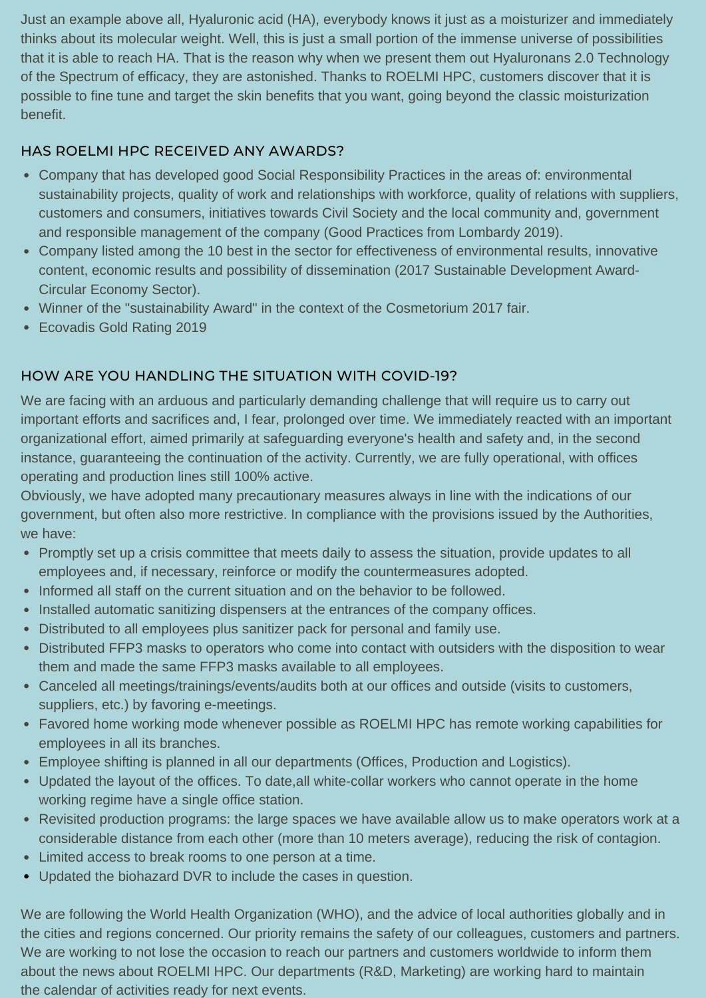Just an example above all, Hyaluronic acid (HA), everybody knows it just as a moisturizer and immediately thinks about its molecular weight. Well, this is just a small portion of the immense universe of possibilities that it is able to reach HA. That is the reason why when we present them out Hyaluronans 2.0 Technology of the Spectrum of efficacy, they are astonished. Thanks to ROELMI HPC, customers discover that it is possible to fine tune and target the skin benefits that you want, going beyond the classic moisturization benefit.

## HAS ROELMI HPC RECEIVED ANY AWARDS?

- Company that has developed good Social Responsibility Practices in the areas of: environmental sustainability projects, quality of work and relationships with workforce, quality of relations with suppliers, customers and consumers, initiatives towards Civil Society and the local community and, government and responsible management of the company (Good Practices from Lombardy 2019).
- Company listed among the 10 best in the sector for effectiveness of environmental results, innovative content, economic results and possibility of dissemination (2017 Sustainable Development Award-Circular Economy Sector).
- Winner of the "sustainability Award" in the context of the Cosmetorium 2017 fair.
- Ecovadis Gold Rating 2019

## HOW ARE YOU HANDLING THE SITUATION WITH COVID-19?

We are facing with an arduous and particularly demanding challenge that will require us to carry out important efforts and sacrifices and, I fear, prolonged over time. We immediately reacted with an important organizational effort, aimed primarily at safeguarding everyone's health and safety and, in the second instance, guaranteeing the continuation of the activity. Currently, we are fully operational, with offices operating and production lines still 100% active.

Obviously, we have adopted many precautionary measures always in line with the indications of our government, but often also more restrictive. In compliance with the provisions issued by the Authorities, we have:

- Promptly set up a crisis committee that meets daily to assess the situation, provide updates to all employees and, if necessary, reinforce or modify the countermeasures adopted.
- Informed all staff on the current situation and on the behavior to be followed.
- Installed automatic sanitizing dispensers at the entrances of the company offices.
- Distributed to all employees plus sanitizer pack for personal and family use.
- Distributed FFP3 masks to operators who come into contact with outsiders with the disposition to wear them and made the same FFP3 masks available to all employees.
- Canceled all meetings/trainings/events/audits both at our offices and outside (visits to customers, suppliers, etc.) by favoring e-meetings.
- Favored home working mode whenever possible as ROELMI HPC has remote working capabilities for employees in all its branches.
- Employee shifting is planned in all our departments (Offices, Production and Logistics).
- Updated the layout of the offices. To date,all white-collar workers who cannot operate in the home working regime have a single office station.
- Revisited production programs: the large spaces we have available allow us to make operators work at a considerable distance from each other (more than 10 meters average), reducing the risk of contagion.
- Limited access to break rooms to one person at a time.
- Updated the biohazard DVR to include the cases in question.

We are following the World Health Organization (WHO), and the advice of local authorities globally and in the cities and regions concerned. Our priority remains the safety of our colleagues, customers and partners. We are working to not lose the occasion to reach our partners and customers worldwide to inform them about the news about ROELMI HPC. Our departments (R&D, Marketing) are working hard to maintain the calendar of activities ready for next events.